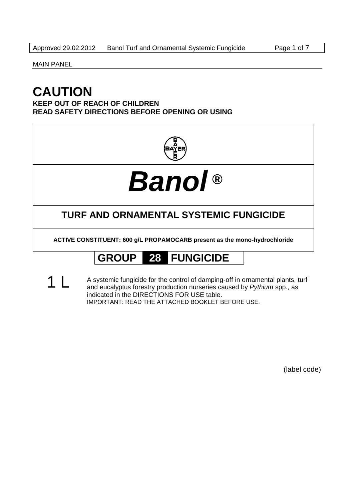MAIN PANEL

## **CAUTION**

**KEEP OUT OF REACH OF CHILDREN READ SAFETY DIRECTIONS BEFORE OPENING OR USING**



# *Banol* **®**

## **TURF AND ORNAMENTAL SYSTEMIC FUNGICIDE**

**ACTIVE CONSTITUENT: 600 g/L PROPAMOCARB present as the mono-hydrochloride**

## **GROUP 28 FUNGICIDE**

1 L A systemic fungicide for the control of damping-off in ornamental plants, turf and eucalyptus forestry production nurseries caused by *Pythium* spp., as indicated in the DIRECTIONS FOR USE table. IMPORTANT: READ THE ATTACHED BOOKLET BEFORE USE.

(label code)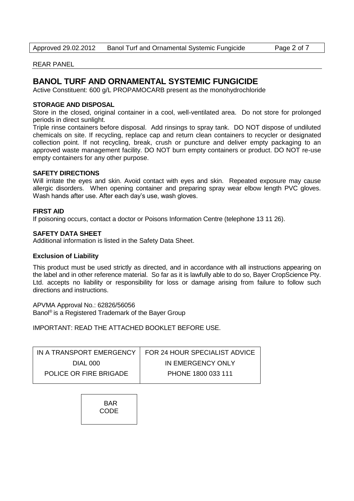#### REAR PANEL

### **BANOL TURF AND ORNAMENTAL SYSTEMIC FUNGICIDE**

Active Constituent: 600 g/L PROPAMOCARB present as the monohydrochloride

#### **STORAGE AND DISPOSAL**

Store in the closed, original container in a cool, well-ventilated area. Do not store for prolonged periods in direct sunlight.

Triple rinse containers before disposal. Add rinsings to spray tank. DO NOT dispose of undiluted chemicals on site. If recycling, replace cap and return clean containers to recycler or designated collection point. If not recycling, break, crush or puncture and deliver empty packaging to an approved waste management facility. DO NOT burn empty containers or product. DO NOT re-use empty containers for any other purpose.

#### **SAFETY DIRECTIONS**

Will irritate the eyes and skin. Avoid contact with eyes and skin. Repeated exposure may cause allergic disorders. When opening container and preparing spray wear elbow length PVC gloves. Wash hands after use. After each day's use, wash gloves.

#### **FIRST AID**

If poisoning occurs, contact a doctor or Poisons Information Centre (telephone 13 11 26).

#### **SAFETY DATA SHEET**

Additional information is listed in the Safety Data Sheet.

#### **Exclusion of Liability**

This product must be used strictly as directed, and in accordance with all instructions appearing on the label and in other reference material. So far as it is lawfully able to do so, Bayer CropScience Pty. Ltd. accepts no liability or responsibility for loss or damage arising from failure to follow such directions and instructions.

APVMA Approval No.: 62826/56056 Banol® is a Registered Trademark of the Bayer Group

IMPORTANT: READ THE ATTACHED BOOKLET BEFORE USE.

|                        | IN A TRANSPORT EMERGENCY   FOR 24 HOUR SPECIALIST ADVICE |
|------------------------|----------------------------------------------------------|
| DIAL 000               | IN EMERGENCY ONLY                                        |
| POLICE OR FIRE BRIGADE | PHONE 1800 033 111                                       |

BAR **CODE**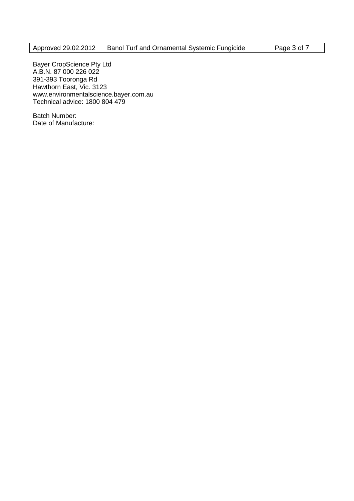Bayer CropScience Pty Ltd A.B.N. 87 000 226 022 391-393 Tooronga Rd Hawthorn East, Vic. 3123 www.environmentalscience.bayer.com.au Technical advice: 1800 804 479

Batch Number: Date of Manufacture: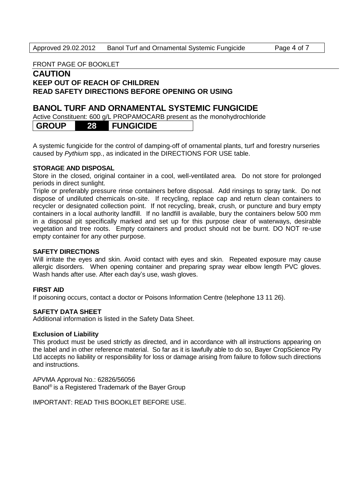#### FRONT PAGE OF BOOKLET

#### **CAUTION KEEP OUT OF REACH OF CHILDREN READ SAFETY DIRECTIONS BEFORE OPENING OR USING**

#### **BANOL TURF AND ORNAMENTAL SYSTEMIC FUNGICIDE**

Active Constituent: 600 g/L PROPAMOCARB present as the monohydrochloride

A systemic fungicide for the control of damping-off of ornamental plants, turf and forestry nurseries caused by *Pythium* spp., as indicated in the DIRECTIONS FOR USE table.

#### **STORAGE AND DISPOSAL**

Store in the closed, original container in a cool, well-ventilated area. Do not store for prolonged periods in direct sunlight.

Triple or preferably pressure rinse containers before disposal. Add rinsings to spray tank. Do not dispose of undiluted chemicals on-site. If recycling, replace cap and return clean containers to recycler or designated collection point. If not recycling, break, crush, or puncture and bury empty containers in a local authority landfill. If no landfill is available, bury the containers below 500 mm in a disposal pit specifically marked and set up for this purpose clear of waterways, desirable vegetation and tree roots. Empty containers and product should not be burnt. DO NOT re-use empty container for any other purpose.

#### **SAFETY DIRECTIONS**

Will irritate the eyes and skin. Avoid contact with eyes and skin. Repeated exposure may cause allergic disorders. When opening container and preparing spray wear elbow length PVC gloves. Wash hands after use. After each day's use, wash gloves.

#### **FIRST AID**

If poisoning occurs, contact a doctor or Poisons Information Centre (telephone 13 11 26).

#### **SAFETY DATA SHEET**

Additional information is listed in the Safety Data Sheet.

#### **Exclusion of Liability**

This product must be used strictly as directed, and in accordance with all instructions appearing on the label and in other reference material. So far as it is lawfully able to do so, Bayer CropScience Pty Ltd accepts no liability or responsibility for loss or damage arising from failure to follow such directions and instructions.

APVMA Approval No.: 62826/56056 Banol<sup>®</sup> is a Registered Trademark of the Bayer Group

IMPORTANT: READ THIS BOOKLET BEFORE USE.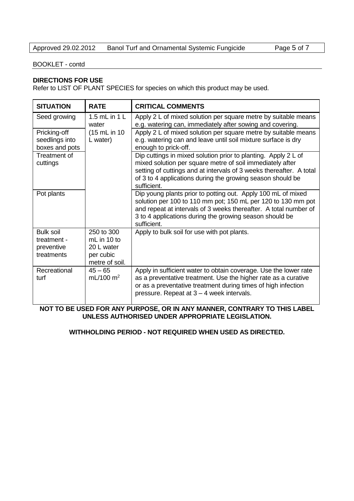#### BOOKLET - contd

#### **DIRECTIONS FOR USE**

Refer to LIST OF PLANT SPECIES for species on which this product may be used.

| <b>SITUATION</b>                                 | <b>RATE</b>                               | <b>CRITICAL COMMENTS</b>                                                                                                                                                                                                                                                        |
|--------------------------------------------------|-------------------------------------------|---------------------------------------------------------------------------------------------------------------------------------------------------------------------------------------------------------------------------------------------------------------------------------|
| Seed growing                                     | 1.5 $mL$ in 1 L<br>water                  | Apply 2 L of mixed solution per square metre by suitable means<br>e.g. watering can, immediately after sowing and covering.                                                                                                                                                     |
| Pricking-off<br>seedlings into<br>boxes and pots | (15 mL in 10)<br>L water)                 | Apply 2 L of mixed solution per square metre by suitable means<br>e.g. watering can and leave until soil mixture surface is dry<br>enough to prick-off.                                                                                                                         |
| Treatment of<br>cuttings                         |                                           | Dip cuttings in mixed solution prior to planting. Apply 2 L of<br>mixed solution per square metre of soil immediately after<br>setting of cuttings and at intervals of 3 weeks thereafter. A total<br>of 3 to 4 applications during the growing season should be<br>sufficient. |
| Pot plants                                       |                                           | Dip young plants prior to potting out. Apply 100 mL of mixed<br>solution per 100 to 110 mm pot; 150 mL per 120 to 130 mm pot<br>and repeat at intervals of 3 weeks thereafter. A total number of<br>3 to 4 applications during the growing season should be<br>sufficient.      |
| <b>Bulk soil</b><br>treatment -                  | 250 to 300<br>mL in $10$ to               | Apply to bulk soil for use with pot plants.                                                                                                                                                                                                                                     |
| preventive<br>treatments                         | 20 L water<br>per cubic<br>metre of soil. |                                                                                                                                                                                                                                                                                 |
| Recreational<br>turf                             | $45 - 65$<br>mL/100 m <sup>2</sup>        | Apply in sufficient water to obtain coverage. Use the lower rate<br>as a preventative treatment. Use the higher rate as a curative<br>or as a preventative treatment during times of high infection<br>pressure. Repeat at 3 - 4 week intervals.                                |

**NOT TO BE USED FOR ANY PURPOSE, OR IN ANY MANNER, CONTRARY TO THIS LABEL UNLESS AUTHORISED UNDER APPROPRIATE LEGISLATION.**

#### **WITHHOLDING PERIOD - NOT REQUIRED WHEN USED AS DIRECTED.**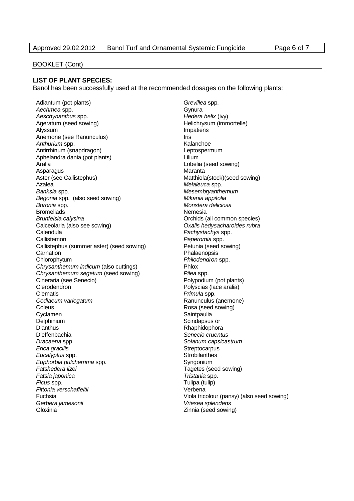#### BOOKLET (Cont)

#### **LIST OF PLANT SPECIES:**

Banol has been successfully used at the recommended dosages on the following plants:

Adiantum (pot plants) *Grevillea* spp. Aechmea spp. **Accounting the Contract Contract Contract Contract Contract Contract Contract Contract Contract Contract Contract Contract Contract Contract Contract Contract Contract Contract Contract Contract Contract Cont** *Aeschynanthus* spp. *Hedera helix* (ivy) Ageratum (seed sowing) entitled and the Helichrysum (immortelle) Alyssum **Impatiens** Anemone (see Ranunculus) **Iris** Iris Anthurium spp. **Kalanchoe Kalanchoe** Antirrhinum (snapdragon) and the control of the Leptospermum Aphelandra dania (pot plants) Lilium Aralia Lobelia (seed sowing) Asparagus **Maranta** Maranta Aster (see Callistephus) Matthiola(stock)(seed sowing) Azalea *Melaleuca* spp. *Banksia* spp. *Mesembryanthemum Begonia* spp. (also seed sowing) *Mikania appifolia Boronia* spp. *Monstera deliciosa* Bromeliads Nemesia *Brunfelsia calysina* Orchids (all common species) Calceolaria (also see sowing) *Oxalis hedysacharoides rubra* Calendula *Pachystachys* spp. Callistemon *Peperomia* spp. Callistephus (summer aster) (seed sowing) Petunia (seed sowing) Carnation **Phalaenopsis** Chlorophytum *Philodendron* spp. **Chrysanthemum indicum (also cuttings)** Phlox *Chrysanthemum segetum* (seed sowing) *Pilea* spp. Cineraria (see Senecio) Polypodium (pot plants) Clerodendron **Polyscias** (lace aralia) Clematis *Primula* spp. *Codiaeum variegatum* Ranunculus (anemone) Coleus **Coleus Rosa** (seed sowing) Cyclamen Saintpaulia Delphinium Scindapsus or Dianthus **Dianthus Rhaphidophora**<br>
Dieffenbachia **Rhaphidophora**<br>
Senecio cruenti *Dracaena* spp. *Solanum capsicastrum Erica gracilis* Streptocarpus **Eucalyptus** spp. The strong strobilanthes subset of the strong strong strong strong strong strong strong strong strong strong strong strong strong strong strong strong strong strong strong strong strong strong strong stro **Euphorbia pulcherrima** spp. Syngonium **Fatshedera lizei** Tagetes (seed sowing) *Fatsia japonica Tristania* spp. *Ficus* spp. Tulipa (tulip) *Fittonia verschaffeltii* Verbena *Gerbera jamesonii Vriesea splendens* Gloxinia Zinnia (seed sowing)

Senecio cruentus Fuchsia Viola tricolour (pansy) (also seed sowing)